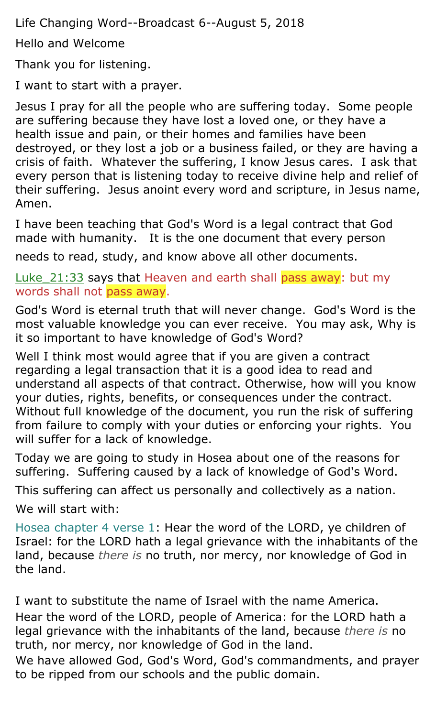Life Changing Word--Broadcast 6--August 5, 2018

Hello and Welcome

Thank you for listening.

I want to start with a prayer.

Jesus I pray for all the people who are suffering today. Some people are suffering because they have lost a loved one, or they have a health issue and pain, or their homes and families have been destroyed, or they lost a job or a business failed, or they are having a crisis of faith. Whatever the suffering, I know Jesus cares. I ask that every person that is listening today to receive divine help and relief of their suffering. Jesus anoint every word and scripture, in Jesus name, Amen.

I have been teaching that God's Word is a legal contract that God made with humanity. It is the one document that every person

needs to read, study, and know above all other documents.

Luke 21:33 says that Heaven and earth shall pass away: but my words shall not pass away.

God's Word is eternal truth that will never change. God's Word is the most valuable knowledge you can ever receive. You may ask, Why is it so important to have knowledge of God's Word?

Well I think most would agree that if you are given a contract regarding a legal transaction that it is a good idea to read and understand all aspects of that contract. Otherwise, how will you know your duties, rights, benefits, or consequences under the contract. Without full knowledge of the document, you run the risk of suffering from failure to comply with your duties or enforcing your rights. You will suffer for a lack of knowledge.

Today we are going to study in Hosea about one of the reasons for suffering. Suffering caused by a lack of knowledge of God's Word.

This suffering can affect us personally and collectively as a nation.

We will start with:

Hosea chapter 4 verse 1: Hear the word of the LORD, ye children of Israel: for the LORD hath a legal grievance with the inhabitants of the land, because *there is* no truth, nor mercy, nor knowledge of God in the land.

I want to substitute the name of Israel with the name America. Hear the word of the LORD, people of America: for the LORD hath a legal grievance with the inhabitants of the land, because *there is* no truth, nor mercy, nor knowledge of God in the land.

We have allowed God, God's Word, God's commandments, and prayer to be ripped from our schools and the public domain.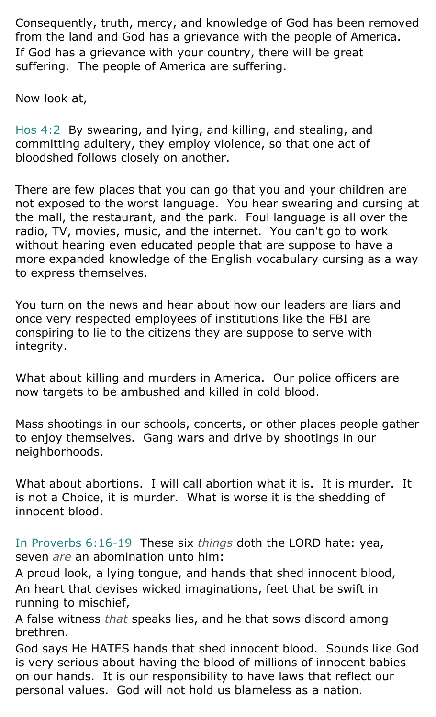Consequently, truth, mercy, and knowledge of God has been removed from the land and God has a grievance with the people of America. If God has a grievance with your country, there will be great suffering. The people of America are suffering.

Now look at,

Hos 4:2 By swearing, and lying, and killing, and stealing, and committing adultery, they employ violence, so that one act of bloodshed follows closely on another.

There are few places that you can go that you and your children are not exposed to the worst language. You hear swearing and cursing at the mall, the restaurant, and the park. Foul language is all over the radio, TV, movies, music, and the internet. You can't go to work without hearing even educated people that are suppose to have a more expanded knowledge of the English vocabulary cursing as a way to express themselves.

You turn on the news and hear about how our leaders are liars and once very respected employees of institutions like the FBI are conspiring to lie to the citizens they are suppose to serve with integrity.

What about killing and murders in America. Our police officers are now targets to be ambushed and killed in cold blood.

Mass shootings in our schools, concerts, or other places people gather to enjoy themselves. Gang wars and drive by shootings in our neighborhoods.

What about abortions. I will call abortion what it is. It is murder. It is not a Choice, it is murder. What is worse it is the shedding of innocent blood.

In Proverbs 6:16-19 These six *things* doth the LORD hate: yea, seven *are* an abomination unto him:

A proud look, a lying tongue, and hands that shed innocent blood, An heart that devises wicked imaginations, feet that be swift in running to mischief,

A false witness *that* speaks lies, and he that sows discord among brethren.

God says He HATES hands that shed innocent blood. Sounds like God is very serious about having the blood of millions of innocent babies on our hands. It is our responsibility to have laws that reflect our personal values. God will not hold us blameless as a nation.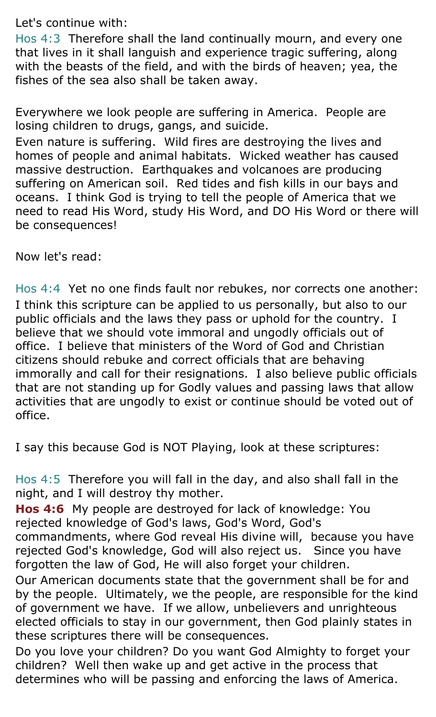Let's continue with:

Hos 4:3 Therefore shall the land continually mourn, and every one that lives in it shall languish and experience tragic suffering, along with the beasts of the field, and with the birds of heaven; yea, the fishes of the sea also shall be taken away.

Everywhere we look people are suffering in America. People are losing children to drugs, gangs, and suicide.

Even nature is suffering. Wild fires are destroying the lives and homes of people and animal habitats. Wicked weather has caused massive destruction. Earthquakes and volcanoes are producing suffering on American soil. Red tides and fish kills in our bays and oceans. I think God is trying to tell the people of America that we need to read His Word, study His Word, and DO His Word or there will be consequences!

Now let's read:

Hos 4:4 Yet no one finds fault nor rebukes, nor corrects one another: I think this scripture can be applied to us personally, but also to our public officials and the laws they pass or uphold for the country. I believe that we should vote immoral and ungodly officials out of office. I believe that ministers of the Word of God and Christian citizens should rebuke and correct officials that are behaving immorally and call for their resignations. I also believe public officials that are not standing up for Godly values and passing laws that allow activities that are ungodly to exist or continue should be voted out of office.

I say this because God is NOT Playing, look at these scriptures:

Hos 4:5 Therefore you will fall in the day, and also shall fall in the night, and I will destroy thy mother.

**Hos 4:6** My people are destroyed for lack of knowledge: You rejected knowledge of God's laws, God's Word, God's commandments, where God reveal His divine will, because you have rejected God's knowledge, God will also reject us. Since you have forgotten the law of God, He will also forget your children.

Our American documents state that the government shall be for and by the people. Ultimately, we the people, are responsible for the kind of government we have. If we allow, unbelievers and unrighteous elected officials to stay in our government, then God plainly states in these scriptures there will be consequences.

Do you love your children? Do you want God Almighty to forget your children? Well then wake up and get active in the process that determines who will be passing and enforcing the laws of America.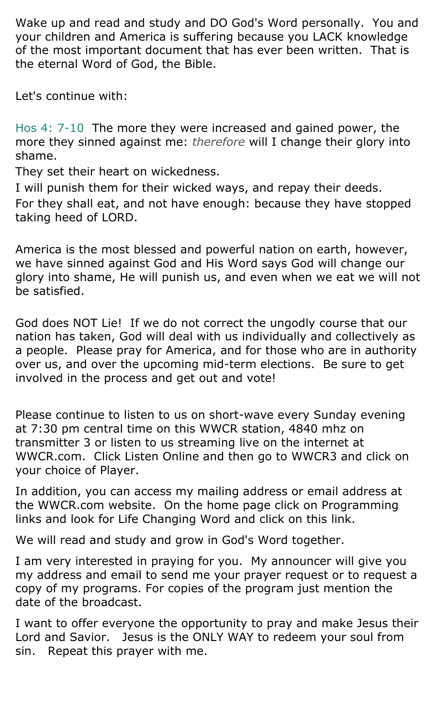Wake up and read and study and DO God's Word personally. You and your children and America is suffering because you LACK knowledge of the most important document that has ever been written. That is the eternal Word of God, the Bible.

Let's continue with:

Hos 4: 7-10 The more they were increased and gained power, the more they sinned against me: *therefore* will I change their glory into shame.

They set their heart on wickedness.

I will punish them for their wicked ways, and repay their deeds. For they shall eat, and not have enough: because they have stopped taking heed of LORD.

America is the most blessed and powerful nation on earth, however, we have sinned against God and His Word says God will change our glory into shame, He will punish us, and even when we eat we will not be satisfied.

God does NOT Lie! If we do not correct the ungodly course that our nation has taken, God will deal with us individually and collectively as a people. Please pray for America, and for those who are in authority over us, and over the upcoming mid-term elections. Be sure to get involved in the process and get out and vote!

Please continue to listen to us on short-wave every Sunday evening at 7:30 pm central time on this WWCR station, 4840 mhz on transmitter 3 or listen to us streaming live on the internet at WWCR.com. Click Listen Online and then go to WWCR3 and click on your choice of Player.

In addition, you can access my mailing address or email address at the WWCR.com website. On the home page click on Programming links and look for Life Changing Word and click on this link.

We will read and study and grow in God's Word together.

I am very interested in praying for you. My announcer will give you my address and email to send me your prayer request or to request a copy of my programs. For copies of the program just mention the date of the broadcast.

I want to offer everyone the opportunity to pray and make Jesus their Lord and Savior. Jesus is the ONLY WAY to redeem your soul from sin. Repeat this prayer with me.